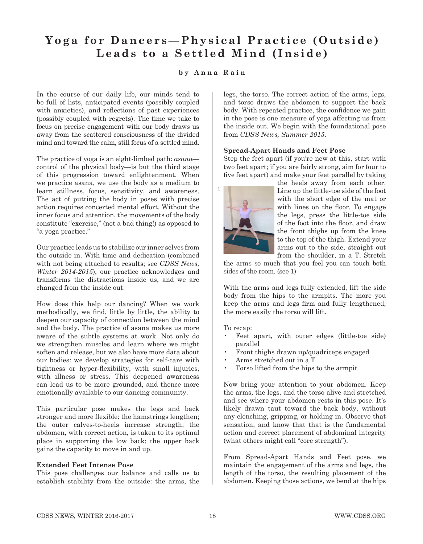# Yoga for Dancers-Physical Practice (Outside) **Leads to a Settled Mind (Inside)**

## **by Anna Rain**

In the course of our daily life, our minds tend to be full of lists, anticipated events (possibly coupled with anxieties), and reflections of past experiences (possibly coupled with regrets). The time we take to focus on precise engagement with our body draws us away from the scattered consciousness of the divided mind and toward the calm, still focus of a settled mind.

The practice of yoga is an eight-limbed path: *asana* control of the physical body—is but the third stage of this progression toward enlightenment. When we practice asana, we use the body as a medium to learn stillness, focus, sensitivity, and awareness. The act of putting the body in poses with precise action requires concerted mental effort. Without the inner focus and attention, the movements of the body constitute "exercise," (not a bad thing!) as opposed to "a yoga practice."

Our practice leads us to stabilize our inner selves from the outside in. With time and dedication (combined with not being attached to results; see *CDSS News, Winter 2014-2015*), our practice acknowledges and transforms the distractions inside us, and we are changed from the inside out.

How does this help our dancing? When we work methodically, we find, little by little, the ability to deepen our capacity of connection between the mind and the body. The practice of asana makes us more aware of the subtle systems at work. Not only do we strengthen muscles and learn where we might soften and release, but we also have more data about our bodies: we develop strategies for self-care with tightness or hyper-flexibility, with small injuries, with illness or stress. This deepened awareness can lead us to be more grounded, and thence more emotionally available to our dancing community.

This particular pose makes the legs and back stronger and more flexible: the hamstrings lengthen; the outer calves-to-heels increase strength; the abdomen, with correct action, is taken to its optimal place in supporting the low back; the upper back gains the capacity to move in and up.

#### **Extended Feet Intense Pose**

This pose challenges our balance and calls us to establish stability from the outside: the arms, the

legs, the torso. The correct action of the arms, legs, and torso draws the abdomen to support the back body. With repeated practice, the confidence we gain in the pose is one measure of yoga affecting us from the inside out. We begin with the foundational pose from *CDSS News, Summer 2015*.

### **Spread-Apart Hands and Feet Pose**

Step the feet apart (if you're new at this, start with two feet apart; if you are fairly strong, aim for four to five feet apart) and make your feet parallel by taking



the heels away from each other. Line up the little-toe side of the foot with the short edge of the mat or with lines on the floor. To engage the legs, press the little-toe side of the foot into the floor, and draw the front thighs up from the knee to the top of the thigh. Extend your arms out to the side, straight out from the shoulder, in a T. Stretch

the arms so much that you feel you can touch both sides of the room. (see 1)

With the arms and legs fully extended, lift the side body from the hips to the armpits. The more you keep the arms and legs firm and fully lengthened, the more easily the torso will lift.

To recap:

- Feet apart, with outer edges (little-toe side) parallel
- Front thighs drawn up/quadriceps engaged
- Arms stretched out in a T
- Torso lifted from the hips to the armpit

Now bring your attention to your abdomen. Keep the arms, the legs, and the torso alive and stretched and see where your abdomen rests in this pose. It's likely drawn taut toward the back body, without any clenching, gripping, or holding in. Observe that sensation, and know that that is the fundamental action and correct placement of abdominal integrity (what others might call "core strength").

From Spread-Apart Hands and Feet pose, we maintain the engagement of the arms and legs, the length of the torso, the resulting placement of the abdomen. Keeping those actions, we bend at the hips